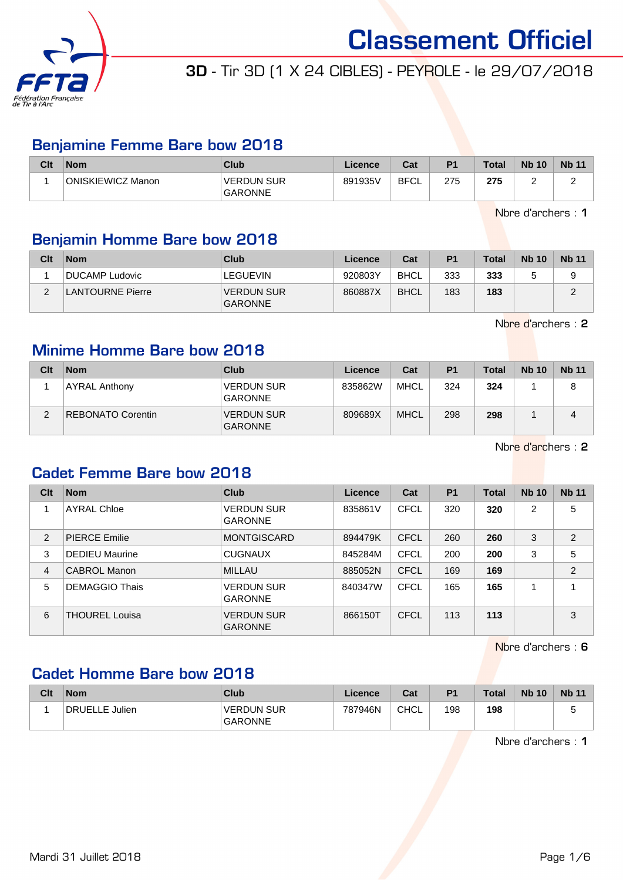

# 3D - Tir 3D (1 X 24 CIBLES) - PEYROLE - le 29/07/2018

## Benjamine Femme Bare bow 2018

| Clt | <b>Nom</b>        | Club                                | Licence | Cat         | P <sub>1</sub> | <b>Total</b> | <b>Nb 10</b> | <b>Nb 11</b> |
|-----|-------------------|-------------------------------------|---------|-------------|----------------|--------------|--------------|--------------|
|     | ONISKIEWICZ Manon | <b>VERDUN SUR</b><br><b>GARONNE</b> | 891935V | <b>BFCL</b> | 275            | 275          |              | ∽            |

Nbre d'archers : 1

## Benjamin Homme Bare bow 2018

| Clt    | <b>Nom</b>       | Club                                | Licence | Cat         | P <sub>1</sub> | Total | <b>Nb 10</b> | <b>Nb 11</b> |
|--------|------------------|-------------------------------------|---------|-------------|----------------|-------|--------------|--------------|
|        | DUCAMP Ludovic   | LEGUEVIN                            | 920803Y | <b>BHCL</b> | 333            | 333   |              |              |
| $\sim$ | LANTOURNE Pierre | <b>VERDUN SUR</b><br><b>GARONNE</b> | 860887X | <b>BHCL</b> | 183            | 183   |              |              |

Nbre d'archers : 2

### Minime Homme Bare bow 2018

| Clt | <b>Nom</b>               | Club                                | Licence | Cat         | P <sub>1</sub> | <b>Total</b> | <b>Nb 10</b> | <b>Nb 11</b> |
|-----|--------------------------|-------------------------------------|---------|-------------|----------------|--------------|--------------|--------------|
|     | <b>AYRAL Anthony</b>     | <b>VERDUN SUR</b><br><b>GARONNE</b> | 835862W | <b>MHCL</b> | 324            | 324          |              | 8            |
|     | <b>REBONATO Corentin</b> | <b>VERDUN SUR</b><br><b>GARONNE</b> | 809689X | <b>MHCL</b> | 298            | 298          |              |              |

Nbre d'archers : 2

#### Cadet Femme Bare bow 2018

| Clt            | <b>Nom</b>            | Club                                | Licence | Cat         | <b>P1</b> | <b>Total</b> | <b>Nb 10</b> | <b>Nb 11</b>   |
|----------------|-----------------------|-------------------------------------|---------|-------------|-----------|--------------|--------------|----------------|
|                | <b>AYRAL Chloe</b>    | <b>VERDUN SUR</b><br><b>GARONNE</b> | 835861V | <b>CFCL</b> | 320       | 320          | 2            | 5              |
| 2              | <b>PIERCE Emilie</b>  | <b>MONTGISCARD</b>                  | 894479K | <b>CFCL</b> | 260       | 260          | 3            | 2              |
| 3              | <b>DEDIEU Maurine</b> | <b>CUGNAUX</b>                      | 845284M | <b>CFCL</b> | 200       | 200          | 3            | 5              |
| $\overline{4}$ | CABROL Manon          | <b>MILLAU</b>                       | 885052N | <b>CFCL</b> | 169       | 169          |              | $\overline{2}$ |
| 5              | <b>DEMAGGIO Thais</b> | <b>VERDUN SUR</b><br><b>GARONNE</b> | 840347W | <b>CFCL</b> | 165       | 165          | 1            | 4              |
| 6              | <b>THOUREL Louisa</b> | <b>VERDUN SUR</b><br><b>GARONNE</b> | 866150T | CFCL        | 113       | 113          |              | 3              |

Nbre d'archers : 6

## Cadet Homme Bare bow 2018

| Clt | <b>Nom</b>     | Club                                | Licence | Cat         | P <sub>1</sub> | <b>Total</b> | <b>Nb 10</b> | <b>Nb 11</b> |
|-----|----------------|-------------------------------------|---------|-------------|----------------|--------------|--------------|--------------|
|     | DRUELLE Julien | <b>VERDUN SUR</b><br><b>GARONNE</b> | 787946N | <b>CHCL</b> | 198            | 198          |              |              |

Nbre d'archers : 1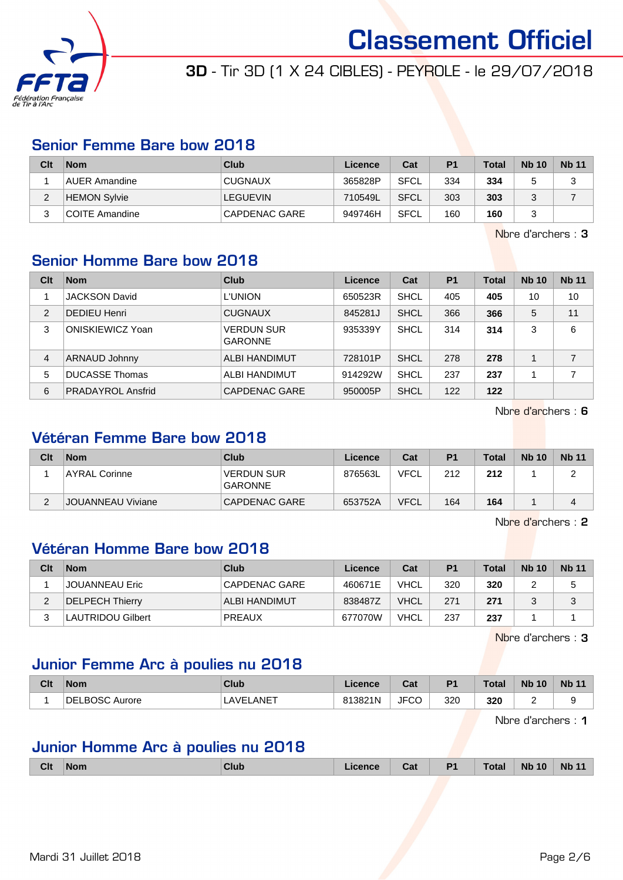

# 3D - Tir 3D (1 X 24 CIBLES) - PEYROLE - le 29/07/2018

### Senior Femme Bare bow 2018

| Clt    | <b>Nom</b>          | Club           | Licence | Cat         | P <sub>1</sub> | <b>Total</b> | <b>Nb 10</b> | <b>Nb 11</b> |
|--------|---------------------|----------------|---------|-------------|----------------|--------------|--------------|--------------|
|        | AUER Amandine       | <b>CUGNAUX</b> | 365828P | <b>SFCL</b> | 334            | 334          |              | っ<br>J       |
| ີ<br>∠ | <b>HEMON Sylvie</b> | LEGUEVIN       | 710549L | <b>SFCL</b> | 303            | 303          |              |              |
| ົ<br>J | COITE Amandine      | CAPDENAC GARE  | 949746H | SFCL        | 160            | 160          |              |              |

Nbre d'archers : 3

## Senior Homme Bare bow 2018

| Clt            | <b>Nom</b>               | Club                                | Licence | Cat         | <b>P1</b> | <b>Total</b> | <b>Nb 10</b> | <b>Nb 11</b> |
|----------------|--------------------------|-------------------------------------|---------|-------------|-----------|--------------|--------------|--------------|
|                | <b>JACKSON David</b>     | <b>L'UNION</b>                      | 650523R | SHCL        | 405       | 405          | 10           | 10           |
| $\overline{2}$ | <b>DEDIEU Henri</b>      | <b>CUGNAUX</b>                      | 845281J | <b>SHCL</b> | 366       | 366          | 5            | 11           |
| 3              | <b>ONISKIEWICZ Yoan</b>  | <b>VERDUN SUR</b><br><b>GARONNE</b> | 935339Y | <b>SHCL</b> | 314       | 314          | 3            | 6            |
| $\overline{4}$ | <b>ARNAUD Johnny</b>     | <b>ALBI HANDIMUT</b>                | 728101P | <b>SHCL</b> | 278       | 278          |              | 7            |
| 5              | <b>DUCASSE Thomas</b>    | ALBI HANDIMUT                       | 914292W | <b>SHCL</b> | 237       | 237          |              | 7            |
| 6              | <b>PRADAYROL Ansfrid</b> | CAPDENAC GARE                       | 950005P | <b>SHCL</b> | 122       | 122          |              |              |

Nbre d'archers : 6

## Vétéran Femme Bare bow 2018

| Clt    | <b>Nom</b>               | Club                         | Licence | Cat         | P <sub>1</sub> | <b>Total</b> | <b>Nb 10</b> | <b>Nb 11</b> |
|--------|--------------------------|------------------------------|---------|-------------|----------------|--------------|--------------|--------------|
|        | ⊺AYRAL Corinne           | VERDUN SUR<br><b>GARONNE</b> | 876563L | <b>VFCL</b> | 212            | 212          |              |              |
| ◠<br>L | <b>JOUANNEAU Viviane</b> | CAPDENAC GARE                | 653752A | <b>VFCL</b> | 164            | 164          |              |              |

Nbre d'archers : 2

#### Vétéran Homme Bare bow 2018

| Clt | <b>Nom</b>               | Club                 | Licence | Cat         | P <sub>1</sub> | $\tau$ otal | <b>Nb 10</b> | <b>Nb 11</b> |
|-----|--------------------------|----------------------|---------|-------------|----------------|-------------|--------------|--------------|
|     | JOUANNEAU Eric_          | CAPDENAC GARE        | 460671E | <b>VHCL</b> | 320            | 320         |              |              |
|     | DELPECH Thierry          | <b>ALBI HANDIMUT</b> | 838487Z | <b>VHCL</b> | 271            | 271         |              | 3            |
|     | <b>LAUTRIDOU Gilbert</b> | <b>PREAUX</b>        | 677070W | VHCL        | 237            | 237         |              |              |

Nbre d'archers : 3

### Junior Femme Arc à poulies nu 2018

| Clt | <b>Nom</b>             | Club         | Licence | $\sim$<br>⊍م | P <sub>1</sub> | <b>Total</b> | <b>Nb</b><br>10 | <b>Nb 11</b> |
|-----|------------------------|--------------|---------|--------------|----------------|--------------|-----------------|--------------|
|     | BOSC.<br>DEI<br>Aurore | ∟ANE⊤<br>AVE | 813821N | <b>JFCC</b>  | 320            | 320          | -               |              |

Nbre d'archers : 1

#### Junior Homme Arc à poulies nu 2018

| <b>Clt</b> | Nom | <b>Club</b> | .icence | Cat | P <sub>1</sub> | Total | <b>Nb 10</b> | <b>Nb 11</b> |
|------------|-----|-------------|---------|-----|----------------|-------|--------------|--------------|
|            |     |             |         |     |                |       |              |              |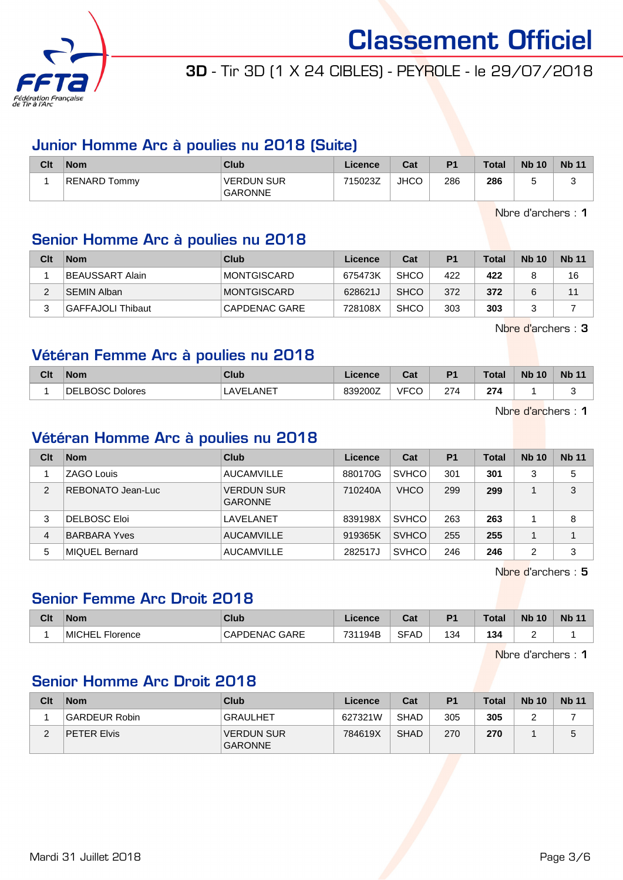

# 3D - Tir 3D (1 X 24 CIBLES) - PEYROLE - le 29/07/2018

## Junior Homme Arc à poulies nu 2018 (Suite)

| Clt | Nom          | Club                                | Licence | Cat         | P <sub>1</sub> | <b>Total</b> | <b>Nb 10</b> | <b>Nb 11</b> |
|-----|--------------|-------------------------------------|---------|-------------|----------------|--------------|--------------|--------------|
|     | RENARD Tommv | <b>VERDUN SUR</b><br><b>GARONNE</b> | 715023Z | <b>JHCO</b> | 286            | 286          |              |              |

Nbre d'archers : 1

## Senior Homme Arc à poulies nu 2018

| Clt | <b>Nom</b>        | Club          | Licence | Cat         | P <sub>1</sub> | <b>Total</b> | <b>Nb 10</b> | <b>Nb 11</b> |
|-----|-------------------|---------------|---------|-------------|----------------|--------------|--------------|--------------|
|     | BEAUSSART Alain   | MONTGISCARD   | 675473K | <b>SHCO</b> | 422            | 422          |              | 16           |
|     | ∃SEMIN Alban∃     | MONTGISCARD   | 628621J | <b>SHCO</b> | 372            | 372          |              | 11           |
|     | GAFFAJOLI Thibaut | CAPDENAC GARE | 728108X | <b>SHCO</b> | 303            | 303          |              |              |

Nbre d'archers : 3

# Vétéran Femme Arc à poulies nu 2018

| Clt | <b>Nom</b>                    | Club            | Licence | $\sim$<br>ual | D <sub>1</sub> | <b>Total</b> | <b>N<sub>b</sub></b><br>10 | <b>Nb 11</b> |
|-----|-------------------------------|-----------------|---------|---------------|----------------|--------------|----------------------------|--------------|
|     | ROSC.<br>DE<br><b>Dolores</b> | $\_ANET$<br>AVE | 839200Z | <b>VFCC</b>   | 274            | 274          |                            | -<br>∼       |

Nbre d'archers : 1

### Vétéran Homme Arc à poulies nu 2018

| Clt | <b>Nom</b>        | Club                                | Licence | Cat          | P <sub>1</sub> | Total | <b>Nb 10</b> | <b>Nb 11</b> |
|-----|-------------------|-------------------------------------|---------|--------------|----------------|-------|--------------|--------------|
|     | <b>ZAGO Louis</b> | <b>AUCAMVILLE</b>                   | 880170G | <b>SVHCO</b> | 301            | 301   | 3            | 5            |
| 2   | REBONATO Jean-Luc | <b>VERDUN SUR</b><br><b>GARONNE</b> | 710240A | <b>VHCO</b>  | 299            | 299   |              | 3            |
| 3   | DELBOSC Eloi      | LAVELANET                           | 839198X | <b>SVHCO</b> | 263            | 263   |              | 8            |
| 4   | BARBARA Yves      | <b>AUCAMVILLE</b>                   | 919365K | <b>SVHCO</b> | 255            | 255   |              |              |
| 5   | MIQUEL Bernard    | <b>AUCAMVILLE</b>                   | 282517J | <b>SVHCO</b> | 246            | 246   | 2            | 3            |

Nbre d'archers : 5

## Senior Femme Arc Droit 2018

| Clt | <b>Nom</b>                | <b>Club</b>             | Licence | Cat         | D <sub>1</sub> | Total | <b>N<sub>b</sub></b><br>10 | <b>Nb 11</b> |
|-----|---------------------------|-------------------------|---------|-------------|----------------|-------|----------------------------|--------------|
|     | <b>MICHEL</b><br>Florence | GARE<br><b>CAPDENAC</b> | 731194B | <b>SFAD</b> | 134<br>. ت     | 134   | -                          |              |

Nbre d'archers : 1

## Senior Homme Arc Droit 2018

| Clt | <b>Nom</b>    | Club                                | Licence | Cat         | P <sub>1</sub> | <b>Total</b> | <b>Nb 10</b> | <b>Nb</b> 11 |
|-----|---------------|-------------------------------------|---------|-------------|----------------|--------------|--------------|--------------|
|     | GARDEUR Robin | <b>GRAULHET</b>                     | 627321W | <b>SHAD</b> | 305            | 305          |              |              |
|     | PETER Elvis   | <b>VERDUN SUR</b><br><b>GARONNE</b> | 784619X | <b>SHAD</b> | 270            | 270          |              | 5            |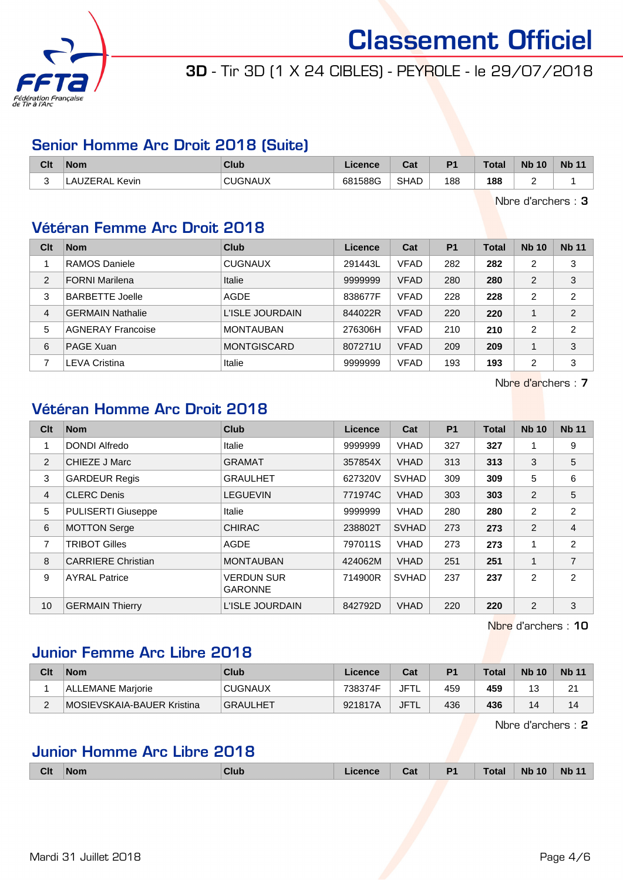

# 3D - Tir 3D (1 X 24 CIBLES) - PEYROLE - le 29/07/2018

### Senior Homme Arc Droit 2018 (Suite)

| Clt | <b>Nom</b>    | <b>Club</b>    | Licence | <b>Dol</b><br>uai | D <sub>1</sub> | <b>Total</b> | <b>Nb</b><br>10 | <b>Nb</b> |
|-----|---------------|----------------|---------|-------------------|----------------|--------------|-----------------|-----------|
|     | Kevin<br>™RAL | <b>CUGNAUX</b> | 681588G | <b>SHAD</b>       | 188<br>__      | 188<br>$ -$  | -               |           |

Nbre d'archers : 3

## Vétéran Femme Arc Droit 2018

| Clt            | <b>Nom</b>               | Club               | Licence | Cat         | P <sub>1</sub> | <b>Total</b> | <b>Nb 10</b>   | <b>Nb 11</b>   |
|----------------|--------------------------|--------------------|---------|-------------|----------------|--------------|----------------|----------------|
|                | RAMOS Daniele            | <b>CUGNAUX</b>     | 291443L | <b>VFAD</b> | 282            | 282          | 2              | 3              |
| 2              | <b>FORNI Marilena</b>    | Italie             | 9999999 | <b>VFAD</b> | 280            | 280          | $\overline{2}$ | 3              |
| 3              | <b>BARBETTE Joelle</b>   | AGDE               | 838677F | <b>VFAD</b> | 228            | 228          | $\overline{2}$ | $\overline{2}$ |
| 4              | <b>GERMAIN Nathalie</b>  | L'ISLE JOURDAIN    | 844022R | <b>VFAD</b> | 220            | 220          |                | 2              |
| 5              | <b>AGNERAY Francoise</b> | <b>MONTAUBAN</b>   | 276306H | <b>VFAD</b> | 210            | 210          | 2              | $\overline{2}$ |
| 6              | PAGE Xuan                | <b>MONTGISCARD</b> | 807271U | <b>VFAD</b> | 209            | 209          |                | 3              |
| $\overline{ }$ | <b>LEVA Cristina</b>     | Italie             | 9999999 | <b>VFAD</b> | 193            | 193          | $\overline{2}$ | 3              |

Nbre d'archers : 7

## Vétéran Homme Arc Droit 2018

| Clt | <b>Nom</b>                | <b>Club</b>                         | <b>Licence</b> | Cat          | P <sub>1</sub> | <b>Total</b> | <b>Nb 10</b>   | <b>Nb 11</b>   |
|-----|---------------------------|-------------------------------------|----------------|--------------|----------------|--------------|----------------|----------------|
|     | DONDI Alfredo             | <b>Italie</b>                       | 9999999        | <b>VHAD</b>  | 327            | 327          |                | 9              |
| 2   | <b>CHIEZE J Marc</b>      | <b>GRAMAT</b>                       | 357854X        | <b>VHAD</b>  | 313            | 313          | 3              | 5              |
| 3   | <b>GARDEUR Regis</b>      | <b>GRAULHET</b>                     | 627320V        | <b>SVHAD</b> | 309            | 309          | 5              | 6              |
| 4   | <b>CLERC Denis</b>        | <b>LEGUEVIN</b>                     | 771974C        | <b>VHAD</b>  | 303            | 303          | 2              | 5              |
| 5   | <b>PULISERTI Giuseppe</b> | <b>Italie</b>                       | 9999999        | <b>VHAD</b>  | 280            | 280          | 2              | $\overline{2}$ |
| 6   | <b>MOTTON Serge</b>       | <b>CHIRAC</b>                       | 238802T        | <b>SVHAD</b> | 273            | 273          | 2              | $\overline{4}$ |
| 7   | <b>TRIBOT Gilles</b>      | <b>AGDE</b>                         | 797011S        | <b>VHAD</b>  | 273            | 273          |                | $\overline{2}$ |
| 8   | <b>CARRIERE Christian</b> | <b>MONTAUBAN</b>                    | 424062M        | <b>VHAD</b>  | 251            | 251          | 1              | $\overline{7}$ |
| 9   | <b>AYRAL Patrice</b>      | <b>VERDUN SUR</b><br><b>GARONNE</b> | 714900R        | <b>SVHAD</b> | 237            | 237          | 2              | $\overline{2}$ |
| 10  | <b>GERMAIN Thierry</b>    | L'ISLE JOURDAIN                     | 842792D        | <b>VHAD</b>  | 220            | 220          | $\overline{2}$ | 3              |

Nbre d'archers : 10

## Junior Femme Arc Libre 2018

| Clt    | <b>Nom</b>                 | Club            | Licence | Cat         | P <sub>1</sub> | $\tau$ otal | <b>Nb 10</b> | <b>Nb 11</b> |
|--------|----------------------------|-----------------|---------|-------------|----------------|-------------|--------------|--------------|
|        | <b>ALLEMANE Mariorie</b>   | <b>CUGNAUX</b>  | 738374F | JFTL        | 459            | 459         | 12<br>ں ا    | 21           |
| $\sim$ | MOSIEVSKAIA-BAUER Kristina | <b>GRAULHET</b> | 921817A | <b>JFTL</b> | 436            | 436         | 14           | 14           |

Nbre d'archers : 2

## Junior Homme Arc Libre 2018

|  | Clt | Nom | Cluk | icence | Cat | P <sub>1</sub> | <b>Total</b> | <b>Nb 10</b> | <b>Nb 11</b> |
|--|-----|-----|------|--------|-----|----------------|--------------|--------------|--------------|
|--|-----|-----|------|--------|-----|----------------|--------------|--------------|--------------|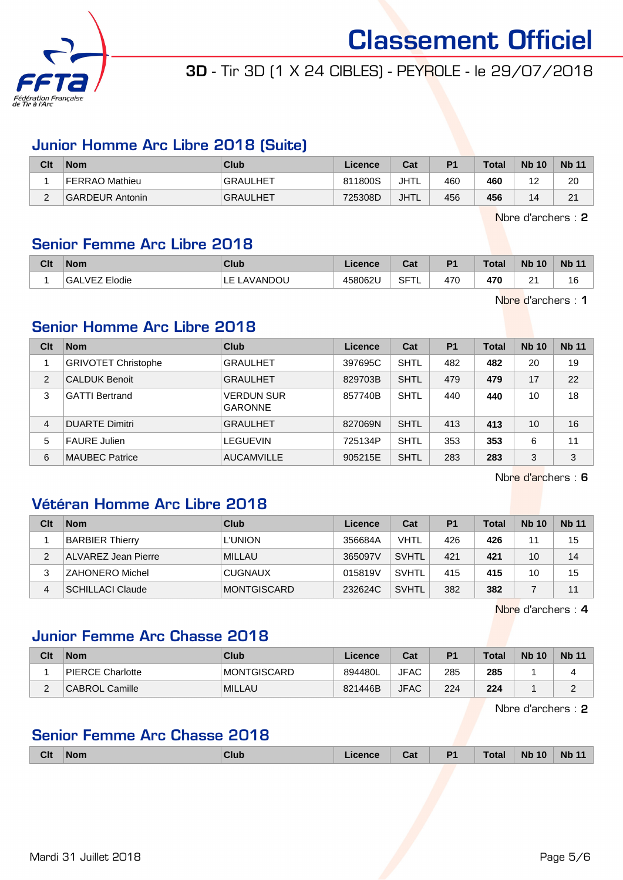

# 3D - Tir 3D (1 X 24 CIBLES) - PEYROLE - le 29/07/2018

### Junior Homme Arc Libre 2018 (Suite)

| Clt                | <b>Nom</b>             | Club            | <b>Licence</b> | Cat         | P <sub>1</sub> | <b>Total</b> | <b>Nb 10</b>           | <b>Nb 11</b> |
|--------------------|------------------------|-----------------|----------------|-------------|----------------|--------------|------------------------|--------------|
|                    | FERRAO Mathieu         | <b>GRAULHET</b> | 811800S        | JHTL        | 460            | 460          | $\sim$<br>. <u>. .</u> | 20           |
| $\sim$<br><u>.</u> | <b>GARDEUR Antonin</b> | <b>GRAULHET</b> | 725308D        | <b>JHTL</b> | 456            | 456          | 14                     | 21<br>∠      |

Nbre d'archers : 2

### Senior Femme Arc Libre 2018

| Clt | <b>Nom</b>                                     | <b>Club</b> | icence  | ่∩ำง<br>val           | P <sub>1</sub> | <b>Total</b>  | <b>Nb</b><br>10 | Nb<br>$\overline{A}$ |
|-----|------------------------------------------------|-------------|---------|-----------------------|----------------|---------------|-----------------|----------------------|
|     | Elodie<br>VF <sub>7</sub><br><b>GAL</b><br>◡–← | AVANDOU.    | 458062U | <b>SFTL</b><br>$\sim$ | 470            | 470<br>$\sim$ | $\sim$<br>-     | טו                   |

Nbre d'archers : 1

### Senior Homme Arc Libre 2018

| Clt            | <b>Nom</b>                 | Club                                | Licence | Cat         | P <sub>1</sub> | <b>Total</b> | <b>Nb 10</b> | <b>Nb 11</b> |
|----------------|----------------------------|-------------------------------------|---------|-------------|----------------|--------------|--------------|--------------|
|                | <b>GRIVOTET Christophe</b> | <b>GRAULHET</b>                     | 397695C | <b>SHTL</b> | 482            | 482          | 20           | 19           |
| 2              | <b>CALDUK Benoit</b>       | <b>GRAULHET</b>                     | 829703B | <b>SHTL</b> | 479            | 479          | 17           | 22           |
| 3              | <b>GATTI Bertrand</b>      | <b>VERDUN SUR</b><br><b>GARONNE</b> | 857740B | <b>SHTL</b> | 440            | 440          | 10           | 18           |
| $\overline{4}$ | <b>DUARTE Dimitri</b>      | <b>GRAULHET</b>                     | 827069N | <b>SHTL</b> | 413            | 413          | 10           | 16           |
| 5              | <b>FAURE Julien</b>        | <b>LEGUEVIN</b>                     | 725134P | <b>SHTL</b> | 353            | 353          | 6            | 11           |
| 6              | <b>MAUBEC Patrice</b>      | <b>AUCAMVILLE</b>                   | 905215E | <b>SHTL</b> | 283            | 283          | 3            | 3            |

Nbre d'archers : 6

## Vétéran Homme Arc Libre 2018

| Clt | <b>Nom</b>              | Club           | Licence | Cat          | P <sub>1</sub> | <b>Total</b> | <b>Nb 10</b> | <b>Nb 11</b> |
|-----|-------------------------|----------------|---------|--------------|----------------|--------------|--------------|--------------|
|     | <b>BARBIER Thierry</b>  | <b>L'UNION</b> | 356684A | <b>VHTL</b>  | 426            | 426          | 11           | 15           |
| 2   | ALVAREZ Jean Pierre     | <b>MILLAU</b>  | 365097V | <b>SVHTL</b> | 421            | 421          | 10           | 14           |
|     | ZAHONERO Michel         | <b>CUGNAUX</b> | 015819V | <b>SVHTL</b> | 415            | 415          | 10           | 15           |
| 4   | <b>SCHILLACI Claude</b> | MONTGISCARD    | 232624C | <b>SVHTL</b> | 382            | 382          |              | 11           |

Nbre d'archers : 4

### Junior Femme Arc Chasse 2018

| Clt | <b>Nom</b>            | Club          | Licence | Cat         | P1  | Total | <b>Nb 10</b> | <b>Nb 11</b> |
|-----|-----------------------|---------------|---------|-------------|-----|-------|--------------|--------------|
|     | PIERCE Charlotte      | MONTGISCARD   | 894480L | <b>JFAC</b> | 285 | 285   |              |              |
|     | <b>CABROL Camille</b> | <b>MILLAU</b> | 821446B | <b>JFAC</b> | 224 | 224   |              |              |

Nbre d'archers : 2

## Senior Femme Arc Chasse 2018

| <b>Clt</b> | <b>Nom</b> | <b>Club</b> | icence | Cat | P <sub>1</sub> | <b>Total</b> | <b>Nb 10</b> | <b>Nb 11</b> |
|------------|------------|-------------|--------|-----|----------------|--------------|--------------|--------------|
|            |            |             |        |     |                |              |              |              |